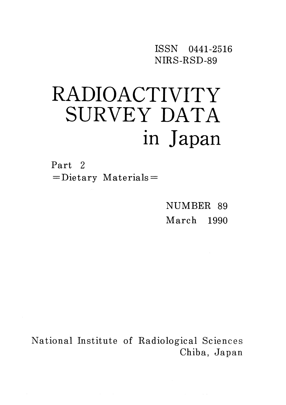ISSN O441-2516 NIRS-RSD-89

# RADIOACTIVITY SURVEY DATA in Japan

Part 2  $=$ Dietary Materials $=$ 

> NUMBER 89 March 1990

National Institute of Radiological Sciences Chiba, Japan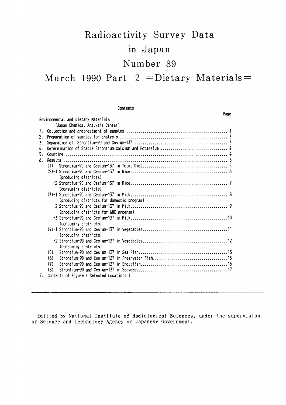# Radioactivity Survey Data in Japan Number 89

March 1990 Part  $2 =$ Dietary Materials =

|    | Contents                                   |      |
|----|--------------------------------------------|------|
|    |                                            | Page |
|    | Environmental and Dietary Materials        |      |
|    | (Japan Chemical Analysis Center)           |      |
| 1. |                                            |      |
| 2. |                                            |      |
| 3. |                                            |      |
| 4. |                                            |      |
| 5. |                                            |      |
| 6. |                                            |      |
|    | (1)                                        |      |
|    |                                            |      |
|    | (producing districts)                      |      |
|    |                                            |      |
|    | (consuming districts)                      |      |
|    |                                            |      |
|    | (producing districts for domestic program) |      |
|    |                                            |      |
|    | (producing districts for WHO program)      |      |
|    |                                            |      |
|    | (consuming districts)                      |      |
|    |                                            |      |
|    | (producing districts)                      |      |
|    |                                            |      |
|    | (consuming districts)                      |      |
|    | (5)                                        |      |
|    | (6)                                        |      |
|    | (7)                                        |      |
|    | (8)                                        |      |
| 7. | Contents of Figure (Selected Locations)    |      |

Editted by National Institute of Radiological Sciences, under the supervision of Science and Technology Agency of Japanese Government.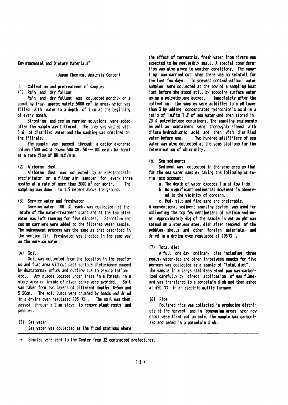Environmental and Dietary Materials<sup>\*</sup>

#### (Japan Chemical Analysis Center)

Collection and pretreatment of samples

(1) Rain and dry fallout

Rain and dry fallout was collected monthly on a sampling tray, approximately 5000 cm<sup>2</sup> in area, which was filled with water to a depth of 1 cm at the beginning of every month.

Strontium and cesium carrier solutions were added after the sample was filtered. The tray was washed with 5  $\ell$  of distilled vater and the vashing vas combined to the filtrate.

The sample was passed through a cation exchange column (500 ml of Dowex 50W  $\times$ 8, 50  $\sim$  100 mesh, Na form) at a rate flow of 80 ml/min.

#### (2) Airborne dust

Airborne dust was collected by an electrostatic precipitator or a filter air sampler for every three months at a rate of more than 3000 m<sup>3</sup> per month. The sampling was done 1 to 1.5 meters above the ground.

#### (3) Service water and freshwater

Service water, 100  $\ell$  each, was collected at the intake of the vater-treatment plant and at the tap after vater vas left running for five minutes. Strontium and cesium carriers were added to the filtered water sample. The subsequent process was the same as that described in the section (1). Freshwater was treated in the same way as the service vater.

#### $(4)$  Soil

Soil was collected from the location in the spacious and flat area without past surface disturbance caused by duststorms, inflow and outflow due to precipitation, etc.. Any places located under trees in a forest, in a stony area or inside of river banks were avoided. Soil was taken from two layers of different depths, 0-5cm and  $5 - 20$ cm. The soil lumps were crushed by hands and dried in a drying oven regulated 105  $\mathbb{C}$ . The soil was then passed through a 2 mm sleve to remove plant roots and pebbles.

(5) Sea vater Sea water was collected at the fixed stations where the effect of terrestrial fresh water from rivers was expected to be negligibly small. A special consideration was also given to weather conditions. The sampling was carried out when there was no rainfall for the last few days. To prevent contamination, water samples were collected at the bow of a sampling boat just before she stood still by scooping surface water using a polyethylene bucket. Immediately after the collection, the samples were acidified to a pH lower than 3 by adding concentrated hydrochloric acid in a ratio of 1ml to 1 l of sea water, and then stored in 20 2 polyethylene containers. The sampling equipments as well as containers were thoroughly rinsed with dilute hydrochloric acid and then with distilled Two hundred milliliters of sea vater before use. water was also collected at the same stations for the determination of chlorinity.

#### (6) Sea sediments

Sediment was collected in the same area as that for the sea water sample, taking the following criteria into account:

- a. The depth of water exceeds 1 m at low tide.
- b. No significant sedimental movement is observed in the vicinity of concern.
- c. Mud, silt and fine sand are preferable.

A conventional sediment sampling device was used for collecting the top few centimeters of surface sediment. Approximately 4kg of the sample in wet weight was spread on a stenless steel dish after removed of the pebbles, shells and other foreign materials, and dried in a drying oven regulated at  $105 \mathbf{C}$ .

#### (7) Total diet

A full one day ordinary diet including three meals, vater, tea and other in-between snacks for five persons was collected as a sample of "total diet". The sample in a large stainless steel pan was carbonized carefully by direct application of gas flame, and was transfered to a porcelain dish and then ashed at 450 °C in an electric muffle furnace.

#### $(8)$  Rice

Polished rice was collected in producing districts at the harvest and in consuming areas when new crops were first put on sale. The sample was carbonized and ashed in a porcelain dish.

\* Samples were sent to the Center from 32 contracted prefectures.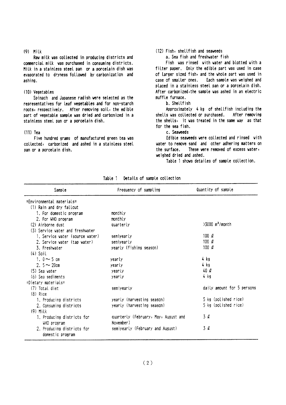### $(9)$  Milk

Raw milk was collected in producing districts and commercial milk was purchased in consuming districts. Milk in a stainless steel pan or a porcelain dish was evaporated to dryness followed by carbonization and ashing.

#### (10) Vegetables

Spinach and Japanese radish were selected as the representatives for leaf vegetables and for non-starch roots, respectively. After removing soil, the edible part of vegetable sample was dried and carbonized in a stainless steel pan or a porcelain dish.

#### $(11)$  Tea

Five hundred grams of manufactured green tea was collected, carbonized and ashed in a stainless steel pan or a porcelain dish.

#### (12) Fish, shellfish and seaveeds

a. Sea fish and freshwater fish

Fish was rinsed with water and blotted with a filter paper. Only the edible part was used in case of larger sized fish, and the whole part was used in case of smaller ones. Each sample was weighed and placed in a stainless steel pan or a porcelain dish. After carbonized, the sample was ashed in an electric muffle furnace.

#### b. Shellfish

Approximately 4 kg of shellfish including the After removing shells was collected or purchased. the shells, it was treated in the same way as that for the sea fish.

#### c. Seaveeds

Edible seaveeds were collected and rinsed with water to remove sand and other adhering matters on These were removed of excess water, the surface. weighed dried and ashed.

Table 1 shows detailes of sample collection.

| Sample                           | Frequency of sampling                | Quantity of sample            |
|----------------------------------|--------------------------------------|-------------------------------|
| $=$ Environmental materials=     |                                      |                               |
| (1) Rain and dry fallout         |                                      |                               |
| 1. For domestic program          | monthly                              |                               |
| 2. For WHO program               | monthly                              |                               |
| (2) Airborne dust                | quarterly                            | $>3000$ m <sup>3</sup> /month |
| (3) Service water and freshwater |                                      |                               |
| 1. Service vater (source vater)  | semiyearly                           | 100 $\rho$                    |
| 2. Service water (tap water)     | semiyearly                           | 100 $\ell$                    |
| 3. Freshvater                    | yearly (fishing season)              | 100 $\ell$                    |
| $(4)$ Soil                       |                                      |                               |
| 1. $0 \sim 5$ cm                 | yearly                               | 4 kg                          |
| 2. $5 \sim 20$ cm                | yearly                               | 4 kg                          |
| $(5)$ Sea vater                  | yearly                               | 40 l                          |
| (6) Sea sediments                | yearly                               | 4 kg                          |
| =Dietary materials=              |                                      |                               |
| (7) Total diet                   | semiyearly                           | daily amount for 5 persons    |
| $(8)$ Rice                       |                                      |                               |
| 1. Producing districts           | yearly (harvesting season)           | 5 kg (polished rice)          |
| 2. Consuming districts           | yearly (harvesting season)           | 5 kg (polished rice)          |
| $(9)$ Milk                       |                                      |                               |
| 1. Producing districts for       | quarterly (February, May, August and | $3\ell$                       |
| WHO program                      | November)                            |                               |
| 2. Producing districts for       | semiyearly (February and August)     | 3 L                           |
| domestic program                 |                                      |                               |

Table 1 Details of sample collection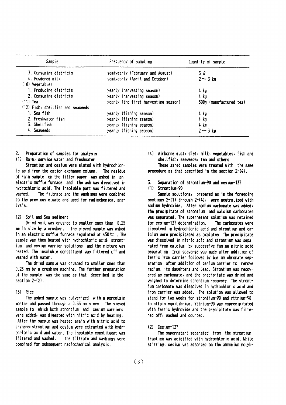| Sample                            | Frequency of sampling                | Quantity of sample      |  |  |
|-----------------------------------|--------------------------------------|-------------------------|--|--|
| 3. Consuming districts            | semiyearly (February and August)     | 3 l                     |  |  |
| 4. Powdered milk                  | semiyearly (April and October)       | $2 - 3$ kg              |  |  |
| (10) Vegetables                   |                                      |                         |  |  |
| 1. Producing districts            | yearly (harvesting season)           | 4 kg                    |  |  |
| 2. Consuming districts            | yearly (harvesting season)           | 4 kg                    |  |  |
| $(11)$ Tea                        | yearly (the first harvesting season) | 500g (manufactured tea) |  |  |
| (12) Fish, shellfish and seaveeds |                                      |                         |  |  |
| 1. Sea fish                       | yearly (fishing season)              | 4 kg                    |  |  |
| 2. Freshwater fish                | yearly (fishing season)              | 4 kg                    |  |  |
| 3. Shellfish                      | yearly (fishing season)              | 4 kg                    |  |  |
| 4. Seaveeds                       | yearly (fishing season)              | $2 \sim 3$ kg           |  |  |

 $\sum$ Preparation of samples for analysis

(1) Rain, service water and freshwater

Strontium and cesium were eluted with hydrochloric acid from the cation exchange column. The residue of rain sample on the filter paper was ashed in an electric muffle furnace and the ash was dissolved in hydrochloric acid. The insoluble part was filtered and vashed. The filtrate and the washings were combined to the previous eluate and used for radiochemical ana-Lysis.

### (2) Soil and Sea sediment

Dried soil was crushed to smaller ones than 0.25 mm in size by a crusher. The sieved sample was ashed in an electric muffle furnace regulated at  $450 \, \text{C}$ . The sample was then heated with hydrochloric acid, strontjum and cesium carrier solutions and the mixture was reated. The insoluble constituent was filtered off and usebed uith uster

The dried sample was crushed to smaller ones than 1.25 mm by a crushing machine. The further preparation of the sample was the same as that described in the section  $2-(2)$ .

#### $(3)$  Rice

The ashed sample was pulverized with a porcelain nortar and passed through a 0.35 mm sieve. The sieved sample to which both strontium and cesium carriers vere added, was digested with nitric acid by heating. After the sample was heated again with nitric acid to inyness, strontium and cesium were extracted with hydrpchloric acid and water. The insoluble constituent was filtered and washed. The filtrate and washings were combined for subsequent radiochemical analysis.

(4) Airborne dust, diet, milk, vegetables, fish and shellfish, seaveeds, tea and others

These ashed samples were treated with the same procedure as that described in the section 2-(4).

Separation of strontium-90 and cesium-137

### $(1)$  Strontium-90

Sample solutions, prepared as in the foregoing sections  $2-(1)$  through  $2-(4)$ , were neutralized with sodium hydroxide. After sodium carbonate was added, the precipitate of strontium and calcium carbonates was separated. The supernatant solution was retained for cesium-137 determination. The carbonates vere dissolved in hydrochloric acid and strontium and ca-Icium were precipitated as oxalates. The precipitate was dissolved in nitric acid and strontium was separated from calcium by successive fuming nitric acid separation. Iron scavenge was made after addition of ferric iron carrier followed by barium chromate separation after addition of barium carrier to remove radium, its daughters and lead. Strontium was recovered as carbonate, and the precipitate was dried and veighed to determine strontium recovery. The strontium carbonate was dissolved in hydrochloric acid and iron carrier was added. The solution was allowed to stand for two weeks for strontium-90 and yttrium-90 to attain equilibrium. Yttrium-90 was coprecipitated with ferric hydroxide and the precipitate was filtered off, washed and counted.

### $(2)$  Cesium-137

The supernatant separated from the strontium fraction was acidified with hydrochloric acid. While stirring, cesium was adsorbed on the ammonium molyb-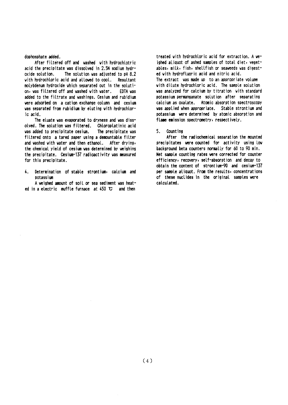#### dophosphate added.

After filtered off and washed with hydrochlotric acid the precipitate was dissolved in 2.5N sodium hydroxide solution. The solution was adjusted to pH 8.2 with hydrochloric acid and allowed to cool. Resultant molybdenum hydroxide which separated out in the solution, was filtered off and washed with water. EDTA was added to the filtrate and washings. Cesium and rubidium were adsorbed on a cation exchange column and cesium was separated from rubidium by eluting with hydrochloric acid.

The eluate was evaporated to dryness and was dissolved. The solution was filtered. Chloroplatinic acid was added to precipitate cesium. The precipitate was filtered onto a tared paper using a demountable filter and washed with water and then ethanol. After drying, the chemical yield of cesium was determined by weighing the precipitate. Cesium-137 radioactivity was measured for this precipitate.

Determination of stable strontium, calcium and 4. potassium

A weighed amount of soil or sea sediment was heated in a electric muffle furnace at  $450$   $\degree$  and then

treated with hydrochloric acid for extraction. A weighed aliquot of ashed samples of total diet, yegetables, milk, fish, shellfish or seaveeds vas digested with hydrofluoric acid and nitric acid. The extract was made up to an appropriate volume with dilute hydrochloric acid. The sample solution was analyzed for calcium by titration with standard potassium permanganate solution after separating calcium as oxalate. Atomic absorption spectroscopy was applied when appropriate. Stable strontium and potassium were determined by atomic absorption and flame emission spectrometry, respectively.

5. Count ing

After the radiochemical separation the mounted precipitates were counted for activity using low background beta counters normally for 60 to 90 min. Net sample counting rates were corrected for counter efficiency, recovery, self-absorption and decay to obtain the content of strontium-90 and cesium-137 per sample aliquot. From the results, concentrations of these nuclides in the original samples were calculated.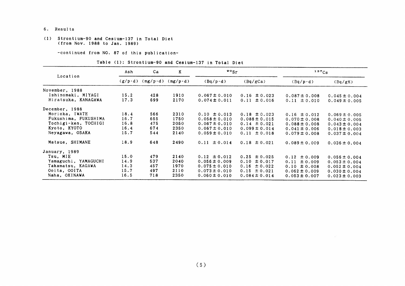- 6. Results
- (1) Strontium-90 and Cesium-137 in Total Diet (from Nov.1988 to Jan.1989)

-COntinued from NO.87 0f this publication-

#### Table (1): Strontium-90 and Cesium-137 in Total Diet

|                      | Ash  | Ca                                | K                | $\cdot$ $\cdot$ sr |                   | $137C_S$          |                   |  |
|----------------------|------|-----------------------------------|------------------|--------------------|-------------------|-------------------|-------------------|--|
| Location             |      | $(g/p \cdot d)$ (mg/p $\cdot d$ ) | $(mg/p \cdot d)$ | $(Bq/p \cdot d)$   | (Bq/gCa)          | $(Bq/p \cdot d)$  | (Bq/gK)           |  |
| November, 1988       |      |                                   |                  |                    |                   |                   |                   |  |
| Ishinomaki, MIYAGI   | 15.2 | 428                               | 1910             | $0.067 \pm 0.010$  | $0.16 \pm 0.023$  | $0.087 \pm 0.008$ | $0.045 \pm 0.004$ |  |
| Hiratsuka, KANAGAWA  | 17.3 | 699                               | 2170             | $0.074 \pm 0.011$  | $0.11 \pm 0.016$  | $0.11 \pm 0.010$  | $0.049 \pm 0.005$ |  |
| December, 1988       |      |                                   |                  |                    |                   |                   |                   |  |
| Morioka, IWATE       | 18.4 | 566                               | 2310             | $0.10 \pm 0.013$   | $0.18 \pm 0.023$  | $0.16 \pm 0.012$  | $0.069 \pm 0.005$ |  |
| Fukushima, FUKUSHIMA | 16.7 | 655                               | 1750             | $0.058 \pm 0.010$  | $0.088 \pm 0.015$ | $0.070 \pm 0.008$ | $0.040 \pm 0.005$ |  |
| Tochigi-ken, TOCHIGI | 16.8 | 475                               | 2050             | $0.067 \pm 0.010$  | $0.14 \pm 0.021$  | $0.088 \pm 0.008$ | $0.043 \pm 0.004$ |  |
| Kyoto, KYOTO         | 16.4 | 674                               | 2350             | $0.067 \pm 0.010$  | $0.099 \pm 0.014$ | $0.041 \pm 0.006$ | $0.018 \pm 0.003$ |  |
| Neyagawa, OSAKA      | 15.7 | 544                               | 2140             | $0.059 \pm 0.010$  | $0.11 \pm 0.018$  | $0.079 \pm 0.008$ | $0.037 \pm 0.004$ |  |
| Matsue, SHIMANE      | 18.9 | 648                               | 2490             | $0.11 \pm 0.014$   | $0.18 \pm 0.021$  | $0.089 \pm 0.009$ | $0.036 \pm 0.004$ |  |
| January, 1989        |      |                                   |                  |                    |                   |                   |                   |  |
| Tsu, MIE             | 15.0 | 479                               | 2140             | $0.12 \pm 0.012$   | $0.25 \pm 0.025$  | ± 0.009<br>0.12   | $0.056 \pm 0.004$ |  |
| Yamaguchi, YAMAGUCHI | 14.9 | 537                               | 2040             | $0.056 \pm 0.009$  | $0.10 \pm 0.017$  | 0.11<br>± 0.009   | $0.053 \pm 0.004$ |  |
| Takamatsu, KAGAWA    | 14.3 | 457                               | 1970             | $0.075 \pm 0.010$  | $0.16 \pm 0.022$  | $0.10 \pm 0.008$  | $0.052 \pm 0.004$ |  |
| Ooita, OOITA         | 15.7 | 497                               | 2110             | $0.073 \pm 0.010$  | $0.15 \pm 0.021$  | $0.062 \pm 0.009$ | $0.030 \pm 0.004$ |  |
| Naha, OKINAWA        | 16.5 | 718                               | 2350             | $0.060 \pm 0.010$  | $0.084 \pm 0.014$ | $0.053 \pm 0.007$ | $0.023 \pm 0.003$ |  |

 $\sim 10^7$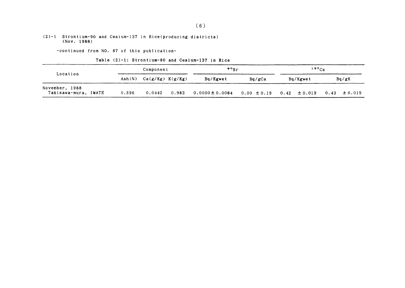#### $(2)-1$  Strontium-90 and Cesium-137 in Rice(producing districts) (Nov.1988)

-COntinued from NO.87 0f this publication-

Table (2)-1: Strontium-90 and Cesium-137 in Rice

| Location                               |  | Component |                      |       | $\cdot \cdot$       |                 | $137C_S$         |                     |  |
|----------------------------------------|--|-----------|----------------------|-------|---------------------|-----------------|------------------|---------------------|--|
|                                        |  | Ash(x)    | $Ca(g/Kg)$ $K(g/Kg)$ |       | Bq/Kgwet            | Bq/gCa          | Bq/Kgwet         | Bq/gK               |  |
| November, 1988<br>Takisawa-mura, IWATE |  | 0.596     | 0.0442               | 0.983 | $0.0000 \pm 0.0084$ | $0.00 \pm 0.19$ | $0.42 \pm 0.019$ | $\pm 0.019$<br>0.43 |  |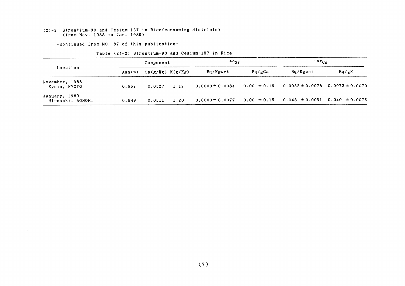#### (2)-2 Strontium-90 and Cesium-137 in Rice(consuming districts (from Nov.1988 to Jan.1989)

-continued from NO. 87 of this publication-

|                                   |        | Component            |      | $\cdot$ $\cdot$ sr  |                 | $137C_S$            |                     |  |
|-----------------------------------|--------|----------------------|------|---------------------|-----------------|---------------------|---------------------|--|
| Location                          | Ash(x) | $Ca(g/Kg)$ $K(g/Kg)$ |      | Bq/Kgwet            | Bq/gCa          | Bq/Kgwet            | Bq/gK               |  |
| November, 1988<br>Kyoto, KYOTO    | 0.662  | 0.0527               | 1.12 | $0.0000 \pm 0.0084$ | $0.00 \pm 0.16$ | $0.0082 \pm 0.0078$ | $0.0073 \pm 0.0070$ |  |
| January, 1989<br>Hirosaki, AOMORI | 0.649  | 0.0511               | 1.20 | $0.0000 \pm 0.0077$ | $0.00 \pm 0.15$ | $0.048 \pm 0.0091$  | $0.040 \pm 0.0075$  |  |

#### Table (2)-2: Strontium-90 and Cesium-137 in Rice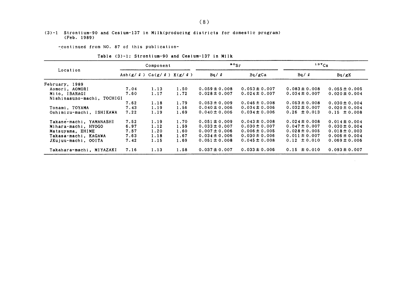#### (3)-1 Strontium-90 and Cesium-137in Milk(producing districts for domestic program) (Feb.1989)

-continued from NO. 87 of this publication-

|                            | Component                                       |      |      | $\cdot \cdot$     |                   | $137C_S$          |                   |  |
|----------------------------|-------------------------------------------------|------|------|-------------------|-------------------|-------------------|-------------------|--|
| Location                   | Ash $(g / \ell)$ Ca $(g / \ell)$ K $(g / \ell)$ |      |      | Bq / l            | Bq/gCa            | Bq / l            | Bq/gK             |  |
| February, 1989             |                                                 |      |      |                   |                   |                   |                   |  |
| Aomori, AOMORI             | 7.04                                            | 1.13 | 1.50 | $0.059 \pm 0.008$ | $0.053 \pm 0.007$ | $0.083 \pm 0.008$ | $0.055 \pm 0.005$ |  |
| Mito, IBARAGI              | 7.60                                            | 1.17 | 1.72 | $0.028 \pm 0.007$ | $0.024 \pm 0.007$ | $0.034 \pm 0.007$ | $0.020 \pm 0.004$ |  |
| Nishinasuno-machi, TOCHIGI |                                                 |      |      |                   |                   |                   |                   |  |
|                            | 7.62                                            | 1.18 | 1.79 | $0.053 \pm 0.009$ | $0.046 \pm 0.008$ | $0.053 \pm 0.008$ | $0.030 \pm 0.004$ |  |
| Tonami, TOYAMA             | 7.43                                            | 1.19 | 1.56 | $0.040 \pm 0.006$ | $0.034 \pm 0.006$ | $0.032 \pm 0.007$ | $0.020 \pm 0.004$ |  |
| Oshimizu-machi, ISHIKAWA   | 7.22                                            | 1.19 | 1.69 | $0.040 \pm 0.006$ | $0.034 \pm 0.006$ | $0.26 \pm 0.013$  | $0.15 \pm 0.008$  |  |
| Takane-machi, YAMANASHI    | 7.52                                            | 1.19 | 1.70 | $0.051 \pm 0.009$ | $0.043 \pm 0.008$ | $0.024 \pm 0.008$ | $0.014 \pm 0.004$ |  |
| Mihara-machi, HYOGO        | 6.97                                            | 1.12 | 1.59 | $0.033 \pm 0.007$ | $0.030 \pm 0.007$ | $0.047 \pm 0.007$ | $0.030 \pm 0.004$ |  |
| Matsuyama, EHIME           | 7.57                                            | 1.20 | 1.60 | $0.007 \pm 0.006$ | $0.006 \pm 0.005$ | $0.028 \pm 0.005$ | $0.018 \pm 0.003$ |  |
| Takasa-machi, KAGAWA       | 7.63                                            | 1.18 | 1.67 | $0.034 \pm 0.006$ | $0.030 \pm 0.006$ | $0.011 \pm 0.007$ | $0.006 \pm 0.004$ |  |
| JKujuu-machi, OOITA        | 7.42                                            | 1.15 | 1.69 | $0.051 \pm 0.008$ | $0.045 \pm 0.008$ | $0.12 \pm 0.010$  | $0.069 \pm 0.006$ |  |
|                            |                                                 |      |      |                   |                   |                   |                   |  |
| Takahara-machi, MIYAZAKI   | 7.16                                            | 1.13 | 1.58 | $0.037 \pm 0.007$ | $0.033 \pm 0.006$ | $0.15 \pm 0.010$  | $0.093 \pm 0.007$ |  |

| Table (3)-1: Strontium-90 and Cesium-137 in Milk |
|--------------------------------------------------|
|--------------------------------------------------|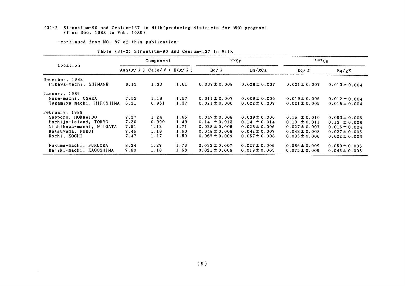#### (3)-2 Strontium-90 and Cesium-137 in Milk(producing districts for WHO program) (from Dec. 1988 to Feb. 1989)

-continued from NO. 87 of this publication-

 $\sim 10^{-1}$ 

|                           | Component                                    |       |      | $\frac{80}{5}$    |                   | $137C_S$          |                   |
|---------------------------|----------------------------------------------|-------|------|-------------------|-------------------|-------------------|-------------------|
| Location                  | Ash(g/ $\ell$ ) Ca(g/ $\ell$ ) K(g/ $\ell$ ) |       |      | $Bq / \ell$       | Bq/gCa            | Bq / l            | Bq/gK             |
| December, 1988            |                                              |       |      |                   |                   |                   |                   |
| Hikawa-machi, SHIMANE     | 8.13                                         | 1.33  | 1.61 | $0.037 \pm 0.008$ | $0.028 \pm 0.007$ | $0.021 \pm 0.007$ | $0.013 \pm 0.004$ |
| January, 1989             |                                              |       |      |                   |                   |                   |                   |
| Nose-machi, OSAKA         | 7.53                                         | 1.18  | 1.57 | $0.011 \pm 0.007$ | $0.009 \pm 0.006$ | $0.019 \pm 0.006$ | $0.012 \pm 0.004$ |
| Takamiya-machi, HIROSHIMA | 6.21                                         | 0.951 | 1.37 | $0.021 \pm 0.006$ | $0.022 \pm 0.007$ | $0.021 \pm 0.005$ | $0.015 \pm 0.004$ |
| February, 1989            |                                              |       |      |                   |                   |                   |                   |
| Sapporo, HOKKAIDO         | 7.27                                         | 1.24  | 1.65 | $0.047 \pm 0.008$ | $0.039 \pm 0.006$ | $0.15 \pm 0.010$  | $0.093 \pm 0.006$ |
| Hachijo-Island, TOKYO     | 7.20                                         | 0.990 | 1.49 | $0.14 \pm 0.013$  | $0.14 \pm 0.014$  | $0.19 \pm 0.011$  | $0.13 \pm 0.008$  |
| Nishikawa-machi, NIIGATA  | 7.51                                         | 1.12  | 1.71 | $0.028 \pm 0.006$ | $0.025 \pm 0.006$ | $0.027 \pm 0.007$ | $0.016 \pm 0.004$ |
| Katsuyama, FUKUI          | 7.45                                         | 1.18  | 1.60 | $0.048 \pm 0.008$ | $0.042 \pm 0.007$ | $0.043 \pm 0.008$ | $0.027 \pm 0.005$ |
| Kochi, KOCHI              | 7.47                                         | 1.17  | 1.59 | $0.067 \pm 0.009$ | $0.057 \pm 0.008$ | $0.035 \pm 0.006$ | $0.022 \pm 0.003$ |
| FUKUOKA<br>Fukuma-machi.  | 8.34                                         | 1.27  | 1.73 | $0.033 \pm 0.007$ | $0.027 \pm 0.006$ | $0.086 \pm 0.009$ | $0.050 \pm 0.005$ |
| Kajiki-machi, KAGOSHIMA   | 7.60                                         | 1.18  | 1.68 | $0.021 \pm 0.006$ | $0.019 \pm 0.005$ | $0.075 \pm 0.009$ | $0.045 \pm 0.005$ |

#### Table (3)-2: Strontium-90 and Cesium-137 in Milk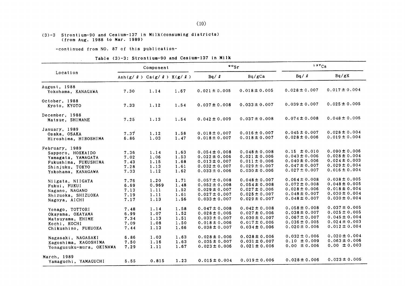#### (3)-3 Strontium-90 and Cesium-137 in Milk(consuming districts) (from Aug.1988 to Har.1989)

-COntinued from NO.87 0f this publication-

a,

Table (3)-3: Strontium-90 and Cesium-137 in Milk

|                                                                                                                            |                                                 | Component                             |                                      | $\frac{80}{5}$                                                                                        |                                                                                                       | 137Cs                                                                                                 |                                                                                                       |  |
|----------------------------------------------------------------------------------------------------------------------------|-------------------------------------------------|---------------------------------------|--------------------------------------|-------------------------------------------------------------------------------------------------------|-------------------------------------------------------------------------------------------------------|-------------------------------------------------------------------------------------------------------|-------------------------------------------------------------------------------------------------------|--|
| Location                                                                                                                   | Ash $(g / \ell)$ Ca $(g / \ell)$ K $(g / \ell)$ |                                       |                                      | $Bq / \ell$                                                                                           | Bq/gCa                                                                                                | Bq / l                                                                                                | Bq/gK                                                                                                 |  |
| August, 1988<br>Yokohama, KANAGAWA                                                                                         | 7.30                                            | 1.14                                  | 1.67                                 | $0.021 \pm 0.005$                                                                                     | $0.018 \pm 0.005$                                                                                     | $0.028 \pm 0.007$                                                                                     | $0.017 \pm 0.004$                                                                                     |  |
| October, 1988<br>Kyoto, KYOTO                                                                                              | 7.33                                            | 1.12                                  | 1.54                                 | $0.037 \pm 0.008$                                                                                     | $0.033 \pm 0.007$                                                                                     | $0.039 \pm 0.007$                                                                                     | $0.025 \pm 0.005$                                                                                     |  |
| December, 1988<br>Matsue, SHIMANE                                                                                          | 7.25                                            | 1.13                                  | 1.54                                 | $0.042 \pm 0.009$                                                                                     | $0.037 \pm 0.008$                                                                                     | $0.074 \pm 0.008$                                                                                     | $0.048 \pm 0.005$                                                                                     |  |
| January, 1989<br>Osaka, OSAKA<br>Hiroshima, HIROSHIMA                                                                      | 7.37<br>6.86                                    | 1.12<br>1.03                          | 1.58<br>1.47                         | $0.018 \pm 0.007$<br>$0.018 \pm 0.007$                                                                | $0.016 \pm 0.007$<br>$0.018 \pm 0.007$                                                                | $0.045 \pm 0.007$<br>$0.028 \pm 0.006$                                                                | $0.028 \pm 0.004$<br>$0.019 \pm 0.004$                                                                |  |
| February, 1989<br>Sapporo, HOKKAIDO<br>Yamagata, YAMAGATA<br>Fukushima, FUKUSHIMA<br>Shinjuku, TOKYO<br>Yokohama, KANAGAWA | 7.36<br>7.02<br>7.43<br>7.28<br>7.33            | 1.14<br>1.06<br>1.15<br>1.13<br>1.12  | 1.63<br>1.53<br>1.68<br>1.61<br>1.62 | $0.054 \pm 0.008$<br>$0.022 \pm 0.006$<br>$0.013 \pm 0.007$<br>$0.032 \pm 0.007$<br>$0.033 \pm 0.006$ | $0.048 \pm 0.008$<br>$0.021 \pm 0.006$<br>$0.011 \pm 0.006$<br>$0.029 \pm 0.007$<br>$0.030 \pm 0.006$ | $0.15 \pm 0.010$<br>$0.043 \pm 0.006$<br>$0.040 \pm 0.006$<br>$0.047 \pm 0.007$<br>$0.027 \pm 0.007$  | $0.090 \pm 0.006$<br>$0.028 \pm 0.004$<br>$0.024 \pm 0.003$<br>$0.029 \pm 0.004$<br>$0.016 \pm 0.004$ |  |
| Niigata, NIIGATA<br>Fukui, FUKUI<br>Nagano, NAGANO<br>Shizuoka, SHIZUOKA<br>Nagoya, AICHI                                  | 7.76<br>6.69<br>7.13<br>7.19<br>7.17            | 1.20<br>0.969<br>1.11<br>1.11<br>1.13 | 1.71<br>1.48<br>1.52<br>1.61<br>1.56 | $0.057 \pm 0.008$<br>$0.052 \pm 0.008$<br>$0.029 \pm 0.007$<br>$0.027 \pm 0.007$<br>$0.033 \pm 0.007$ | $0.048 \pm 0.007$<br>$0.054 \pm 0.008$<br>$0.027 \pm 0.006$<br>$0.025 \pm 0.007$<br>$0.029 \pm 0.007$ | $0.064 \pm 0.008$<br>$0.072 \pm 0.008$<br>$0.028 \pm 0.006$<br>$0.048 \pm 0.007$<br>$0.048 \pm 0.007$ | $0.038 \pm 0.005$<br>$0.048 \pm 0.005$<br>$0.018 \pm 0.004$<br>$0.030 \pm 0.004$<br>$0.030 \pm 0.004$ |  |
| Yonago, TOTTORI<br>Okayama, OKAYAMA<br>Matsuyama, EHIME<br>Kochi, KOCHI<br>Chikushino, FUKUOKA                             | 7.48<br>6.99<br>7.34<br>7.09<br>7.44            | 1.14<br>1.07<br>1.13<br>1.08<br>1.13  | 1.58<br>1.52<br>1.51<br>1.50<br>1.66 | $0.047 \pm 0.008$<br>$0.028 \pm 0.005$<br>$0.033 \pm 0.007$<br>$0.018 \pm 0.006$<br>$0.038 \pm 0.007$ | $0.042 \pm 0.008$<br>$0.027 \pm 0.006$<br>$0.030 \pm 0.007$<br>$0.017 \pm 0.006$<br>$0.034 \pm 0.006$ | $0.058 \pm 0.008$<br>$0.038 \pm 0.007$<br>$0.067 \pm 0.007$<br>$0.036 \pm 0.005$<br>$0.020 \pm 0.006$ | $0.037 \pm 0.005$<br>$0.025 \pm 0.005$<br>$0.045 \pm 0.004$<br>$0.024 \pm 0.003$<br>$0.012 \pm 0.004$ |  |
| Nagasaki, NAGASAKI<br>Kagoshima, KAGOSHIMA<br>Yonagusuku-mura, OKINAWA                                                     | 6.86<br>7.50<br>7.29                            | 1.03<br>1.16<br>1.11                  | 1.63<br>1.63<br>1.67                 | $0.028 \pm 0.006$<br>$0.035 \pm 0.007$<br>$0.023 \pm 0.006$                                           | $0.028 \pm 0.006$<br>$0.031 \pm 0.007$<br>$0.021 \pm 0.006$                                           | $0.032 \pm 0.006$<br>$0.10 \pm 0.009$<br>$0.00 \pm 0.006$                                             | $0.020 \pm 0.004$<br>$0.063 \pm 0.006$<br>$0.00 \pm 0.003$                                            |  |
| March, 1989<br>Yamaguchi, YAMAGUCHI                                                                                        | 5.55                                            | 0.815                                 | 1.23                                 | $0.015 \pm 0.004$                                                                                     | $0.019 \pm 0.006$                                                                                     | $0.028 \pm 0.006$                                                                                     | $0.023 \pm 0.005$                                                                                     |  |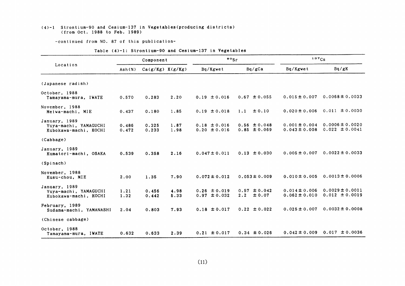#### (4)-1 Strontiun-90 and Cesium-137ih Vegetables(producing districts) (from Oct.1988 to Feb.1989)

-COntinued from NO.87 0f this publication-

|                                                                 |                 | Component            |              | $\frac{80}{5}$                       |                                       | 137Cs                                  |                                           |  |
|-----------------------------------------------------------------|-----------------|----------------------|--------------|--------------------------------------|---------------------------------------|----------------------------------------|-------------------------------------------|--|
| Location                                                        | $\text{Ash}(x)$ | $Ca(g/Kg)$ $K(g/Kg)$ |              | Bq/Kgwet                             | Ba/gCa                                | Bq/Kgwet                               | Bq/gK                                     |  |
| (Japanese radish)                                               |                 |                      |              |                                      |                                       |                                        |                                           |  |
| October, 1988<br>Tamayama-mura, IWATE                           | 0.570           | 0.283                | 2.20         | $0.19 \pm 0.016$                     | $0.67 \pm 0.055$                      | $0.015 \pm 0.007$                      | $0.0068 \pm 0.0033$                       |  |
| November, 1988<br>Meiwa-machi, MIE                              | 0.437           | 0.180                | 1.85         | $0.19 \pm 0.018$                     | ± 0.10<br>1.1                         | $0.020 \pm 0.006$                      | $0.011 \pm 0.0030$                        |  |
| January, 1989<br>Yuya-machi, YAMAGUCHI<br>Kubokawa-machi, KOCHI | 0.486<br>0.472  | 0.325<br>0.233       | 1.87<br>1.98 | $0.18 \pm 0.016$<br>$0.20 \pm 0.016$ | $0.56 \pm 0.048$<br>$0.85 \pm 0.069$  | $0.001 \pm 0.004$<br>$0.043 \pm 0.008$ | $0.0006 \pm 0.0020$<br>$0.022 \pm 0.0041$ |  |
| (Cabbage)                                                       |                 |                      |              |                                      |                                       |                                        |                                           |  |
| January, 1989<br>Kumatori-machi, OSAKA                          | 0.539           | 0.358                | 2.16         | $0.047 \pm 0.011$                    | $0.13 \pm 0.030$                      | $0.005 \pm 0.007$                      | $0.0022 \pm 0.0033$                       |  |
| (Spinach)                                                       |                 |                      |              |                                      |                                       |                                        |                                           |  |
| November, 1988<br>Kusu-chou, MIE                                | 2.00            | 1.35                 | 7.90         | $0.072 \pm 0.012$                    | $0.053 \pm 0.009$                     | $0.010 \pm 0.005$                      | $0.0013 \pm 0.0006$                       |  |
| January, 1989<br>Yuya-machi, YAMAGUCHI<br>Kubokawa-machi, KOCHI | 1.21<br>1.32    | 0.456<br>0.442       | 4.98<br>5.33 | $0.26 \pm 0.019$<br>$0.97 \pm 0.032$ | $0.57 \pm 0.042$<br>$\pm 0.07$<br>2.2 | $0.014 \pm 0.006$<br>$0.062 \pm 0.010$ | $0.0029 \pm 0.0011$<br>$0.012 \pm 0.0019$ |  |
| February, 1989<br>Sudama-machi, YAMANASHI                       | 2.04            | 0.803                | 7.93         | $0.18 \pm 0.017$                     | $0.22 \pm 0.022$                      | $0.025 \pm 0.007$                      | $0.0032 \pm 0.0008$                       |  |
| (Chinese cabbage)                                               |                 |                      |              |                                      |                                       |                                        |                                           |  |
| October, 1988<br>Tamayama-mura, IWATE                           | 0.632           | 0.633                | 2.39         | $0.21 \pm 0.017$                     | $0.34 \pm 0.026$                      | $0.042 \pm 0.009$                      | $0.017 \pm 0.0036$                        |  |

#### Table (4)-1: Strontium-90 and Cesium-137 in Vegetables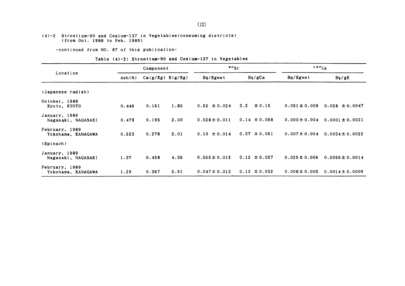#### (4)-2 Strontium-90 and Cesium-137 in Vegetables (consuming districts) (from Oct. 1988 to Feb. 1989)

-continued from NO. 87 of this publication-

#### Table (4)-2: Strontium-90 and Cesium-137 in Vegetables

|                                      |        | Component            |      | $\frac{80}{5}$    |                  | 137C <sub>S</sub> |                     |
|--------------------------------------|--------|----------------------|------|-------------------|------------------|-------------------|---------------------|
| Location                             | Ash(X) | $Ca(g/Kg)$ $K(g/Kg)$ |      | Bq/Kgwet          | Bq/gCa           | Bq/Kgwet          | Bq/gK               |
| (Japanese radish)                    |        |                      |      |                   |                  |                   |                     |
| October, 1988<br>Kyoto, KYOTO        | 0.446  | 0.161                | 1.85 | $0.52 \pm 0.024$  | 3.2<br>± 0.15    | $0.051 \pm 0.009$ | $0.028 \pm 0.0047$  |
| January, 1989<br>Nagasaki, NAGASAKI  | 0.479  | 0.195                | 2.00 | $0.028 \pm 0.011$ | $0.14 \pm 0.058$ | $0.000 \pm 0.004$ | $0.0001 \pm 0.0021$ |
| February, 1989<br>Yokohama, KANAGAWA | 0.523  | 0.278                | 2.01 | $0.10 \pm 0.014$  | $0.37 \pm 0.051$ | $0.007 \pm 0.004$ | $0.0034 \pm 0.0022$ |
| (Spinach)                            |        |                      |      |                   |                  |                   |                     |
| January, 1989<br>Nagasaki, NAGASAKI  | 1.37   | 0.458                | 4.36 | $0.055 \pm 0.012$ | $0.12 \pm 0.027$ | $0.025 \pm 0.006$ | $0.0056 \pm 0.0014$ |
| February, 1989<br>Yokohama, KANAGAWA | 1.29   | 0.367                | 5.51 | $0.047 \pm 0.012$ | $0.13 \pm 0.032$ | $0.008 \pm 0.005$ | $0.0014 \pm 0.0009$ |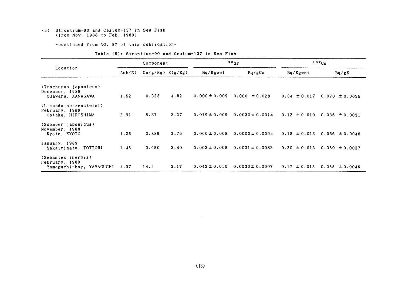#### (5) Strontium-90 and Cesium-137in Sea Fish (from Nov.1988 to Feb.1989)

-continued from NO. 87 of this publication-

| Table (5): Strontium-90 and Cesium-137 in Sea Fish |  |  |
|----------------------------------------------------|--|--|
|----------------------------------------------------|--|--|

|                                                                  | Component |                      |      |                   | $\cdot \cdot$       |                  | 137Cs              |  |  |
|------------------------------------------------------------------|-----------|----------------------|------|-------------------|---------------------|------------------|--------------------|--|--|
| Location                                                         | Ash(X)    | $Ca(g/Kg)$ $K(g/Kg)$ |      | Bq/Kgwet          | Bq/gCa              | Bq/Kgwet         | Bq/gK              |  |  |
| (Trachurus japonicus)<br>December, 1988<br>Odawara, KANAGAWA     | 1.52      | 0.323                | 4.82 | $0.000 \pm 0.009$ | $0.000 \pm 0.028$   | $0.34 \pm 0.017$ | $0.070 \pm 0.0035$ |  |  |
| (Limanda herzensteini)<br>February, 1989<br>Ootake, HIROSHIMA    | 2.91      | 6.37                 | 3.27 | $0.019 \pm 0.009$ | $0.0030 \pm 0.0014$ | $0.12 \pm 0.010$ | $0.036 \pm 0.0031$ |  |  |
| (Scomber japonicus)<br>November, 1988<br>Kyoto, KYOTO            | 1.25      | 0.889                | 2.76 | $0.000 \pm 0.008$ | $0.0000 \pm 0.0094$ | $0.18 \pm 0.013$ | 0.066 $\pm$ 0.0046 |  |  |
| January, 1989<br>Sakaiminato, TOTTORI                            | 1.45      | 0.950                | 3.40 | $0.003 \pm 0.008$ | $0.0031 \pm 0.0083$ | $0.20 \pm 0.013$ | $0.060 \pm 0.0037$ |  |  |
| (Sebastes inermis)<br>February, 1989<br>Yamaguchi-bay, YAMAGUCHI | 4.97      | 14.4                 | 3.17 | $0.043 \pm 0.010$ | $0.0030 \pm 0.0007$ | $0.17 \pm 0.015$ | $0.055 \pm 0.0046$ |  |  |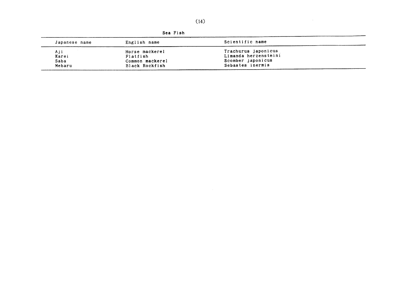$\label{eq:2.1} \frac{1}{\sqrt{2}}\int_{\mathbb{R}^3}\frac{1}{\sqrt{2}}\left(\frac{1}{\sqrt{2}}\right)^2\frac{1}{\sqrt{2}}\left(\frac{1}{\sqrt{2}}\right)^2\frac{1}{\sqrt{2}}\left(\frac{1}{\sqrt{2}}\right)^2\frac{1}{\sqrt{2}}\left(\frac{1}{\sqrt{2}}\right)^2\frac{1}{\sqrt{2}}\left(\frac{1}{\sqrt{2}}\right)^2.$ 

| Sea Fish |  |
|----------|--|
|          |  |

| Japanese name | English name    | Scientific name      |  |
|---------------|-----------------|----------------------|--|
| Aji           | Horse mackerel  | Trachurus japonicus  |  |
| Karei         | Flatfish        | Limanda herzensteini |  |
| Saba          | Common mackerel | Scomber japonicus    |  |
| Mebaru        | Black Rockfish  | Sebastes inermis     |  |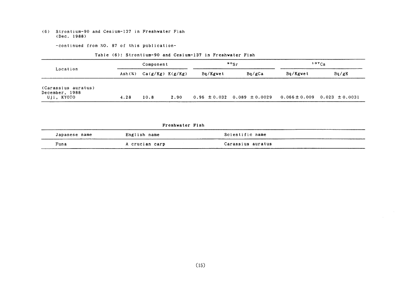#### (6) Strontium-90 and Cesium-137in Freshwater Fish (Dee.1988)

-COntinued from NO.87 of this publication-

|                                                     | Component |                      |      |          | $\cdot$ $\cdot$ sr                                                       | $137C_S$ |       |  |
|-----------------------------------------------------|-----------|----------------------|------|----------|--------------------------------------------------------------------------|----------|-------|--|
| Location                                            | Ash(X)    | $Ca(g/Kg)$ $K(g/Kg)$ |      | Bq/Kgwet | Bq/gCa                                                                   | Bq/Kgwet | Bq/gK |  |
| (Carassius auratus)<br>December, 1988<br>Uji, KYOTO | 4.28      | 10.8                 | 2.90 |          | $0.96 \pm 0.032$ $0.089 \pm 0.0029$ $0.066 \pm 0.009$ $0.023 \pm 0.0031$ |          |       |  |

#### Table (6): Strontium-90 and Cesium-137 in Freshwater Fish

|               | Freshwater Fish |                   |  |
|---------------|-----------------|-------------------|--|
| Japanese name | English name    | Scientific name   |  |
| Funa          | A crucian carp  | Carassius auratus |  |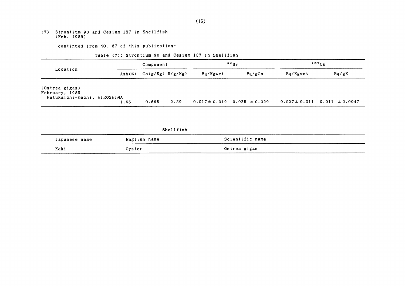(7) Strontium-90 and Cesium-137in She11fish (Feb,1989)

-continued from NO. 87 of this publication-

#### Table (7): Strontium-90 and Cesium-137 in Shellfish

|                                                                 |                                       | Component            |      |          | $\cdot$ $\cdot$                     | 137Cs    |                                      |
|-----------------------------------------------------------------|---------------------------------------|----------------------|------|----------|-------------------------------------|----------|--------------------------------------|
| Location                                                        | $\text{Ash}(\boldsymbol{\mathsf{x}})$ | $Ca(g/Kg)$ $K(g/Kg)$ |      | Bq/Kgwet | Ba/KCa                              | Bq/Kgwet | Bq/gK                                |
| (Ostrea gigas)<br>February, 1989<br>Hatukaichi-machi, HIROSHIMA | 1.66                                  | 0.665                | 2.39 |          | $0.017 \pm 0.019$ 0.025 $\pm 0.029$ |          | $0.027 \pm 0.011$ 0.011 $\pm 0.0047$ |

Shellfish

 $\sim$ 

| Japanese name | English name | Scientific name |
|---------------|--------------|-----------------|
| Kaki          | Oyster       | Ostrea gigas    |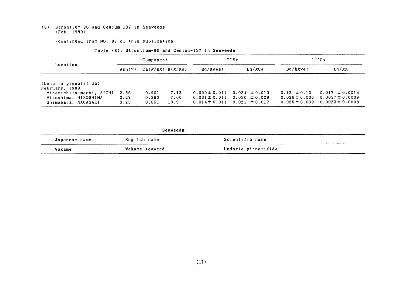#### (8) Strontium-90 and Cesiun-137in Seaweeds (Feb.1989)

-COntinued from NO.87 0f this publication-

|                                                                         | Component            |                         |                      |                                                             | $\cdot$ $\cdot$                                             | $137C_S$                                                  |                                                                  |
|-------------------------------------------------------------------------|----------------------|-------------------------|----------------------|-------------------------------------------------------------|-------------------------------------------------------------|-----------------------------------------------------------|------------------------------------------------------------------|
| Location                                                                | $\text{Ash}(x)$      | $Ca(g/Kg)$ $K(g/Kg)$    |                      | Bg/Kgwet                                                    | Bq/gCa                                                      | Bq/Kgwet                                                  | Bq/gK                                                            |
| (Undaria pinnatifida)<br>February, 1989                                 |                      |                         |                      |                                                             |                                                             |                                                           |                                                                  |
| Minamichita-machi, AICHI<br>Hiroshima, HIROSHIMA<br>Shimabara, NAGASAKI | 2.56<br>2.27<br>3.23 | 0.901<br>0.383<br>0.651 | 7.12<br>7.00<br>10.9 | $0.030 \pm 0.011$<br>$0.031 \pm 0.011$<br>$0.014 \pm 0.011$ | $0.034 \pm 0.013$<br>$0.030 \pm 0.029$<br>$0.021 \pm 0.017$ | $0.12 \pm 0.10$<br>$0.026 \pm 0.006$<br>$0.025 \pm 0.009$ | $0.017 \pm 0.0014$<br>$0.0037 \pm 0.0009$<br>$0.0023 \pm 0.0008$ |

#### Table (8): Strontium-90 and Cesium-137 in Seaweeds

#### Seaweeds

| Japanese name | English name   | Scientific name     |
|---------------|----------------|---------------------|
| Wakame        | Wakame seaweed | Undaria pinnatifida |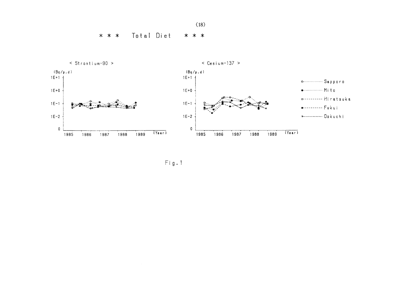Total Diet  $* * *$ \* \* \*







 $Fig. 1$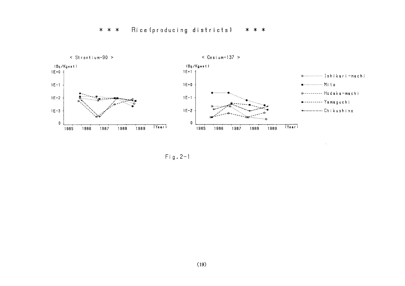#### Rice (producing districts) \* \* \*  $* * *$



 $\bar{z}$ 

 $Fig. 2-1$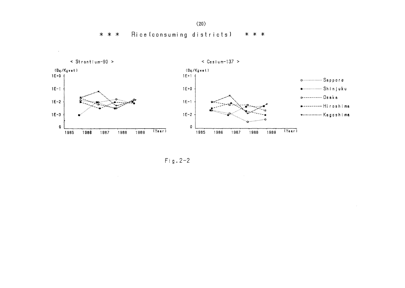Rice (consuming districts) \* \* \* \* \* \*



 $Fig. 2-2$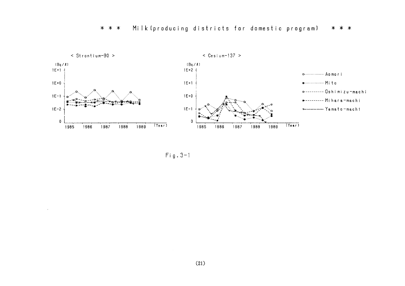

 $Fig. 3-1$ 

 $\Delta$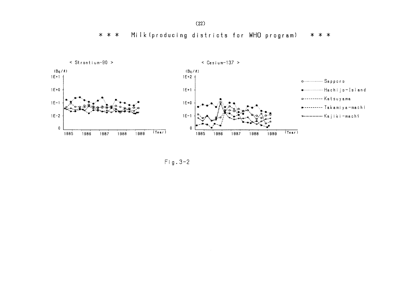$(22)$ 

Milk (producing districts for WHO program) \* \* \* \* \* \*



 $Fig. 3-2$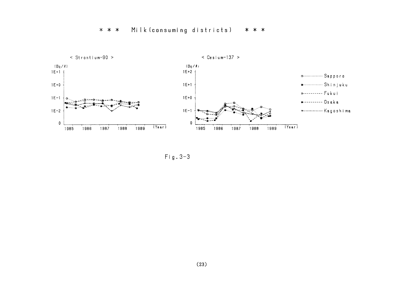## \* \* \* Mi[k(consuming districts】 \* \* \*



Fig.3-3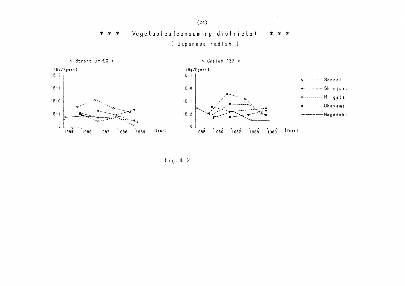$* * *$ Vegetables (consuming districts)  $* * *$ [ Japanese radish ]



 $\le$  Cesium-137 >



 $Fig. 4-2$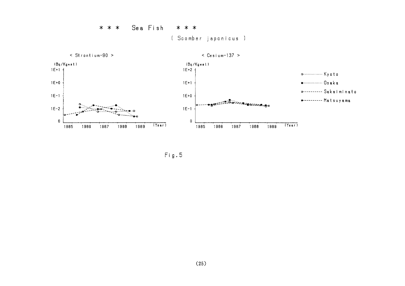Sea Fish  $* * *$ \* \* \* [ Scomber japonicus ]



 $Fig. 5$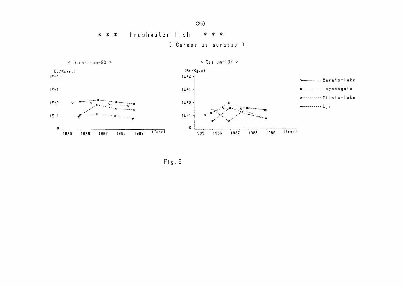Freshwater Fish  $* * *$  $* * *$ (Carassius auratus)

 $\leq$  Strontium-90 >

 $\leq$  Cesium-137 >



 $Fig. 6$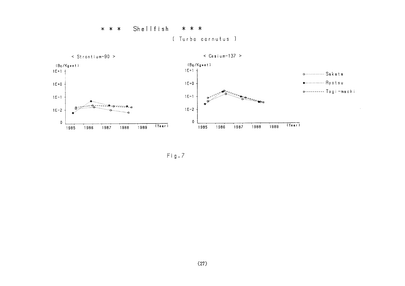#### Shellfish \* \* \*  $* * *$ ( Turbo cornutus )



 $Fig.7$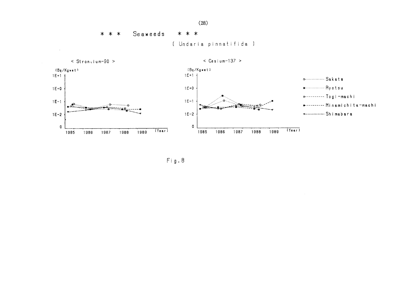Seaweeds  $* * *$ \* \* \*

[ Undaria pinnatifida ]

 $\leq$  Strongium-90 >

 $\bar{z}$ 

 $\le$  Cesium-137 >



 $Fig. 8$